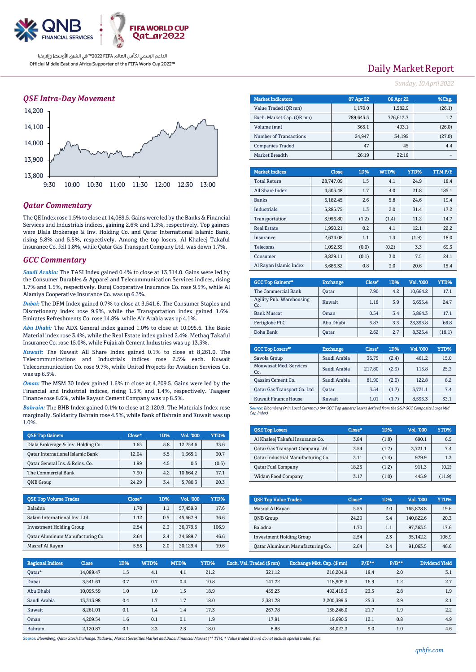

### *QSE Intra-Day Movement*



### *Qatar Commentary*

The QE Index rose 1.5% to close at 14,089.5. Gains were led by the Banks & Financial Services and Industrials indices, gaining 2.6% and 1.3%, respectively. Top gainers were Dlala Brokerage & Inv. Holding Co. and Qatar International Islamic Bank, rising 5.8% and 5.5%, respectively. Among the top losers, Al Khaleej Takaful Insurance Co. fell 1.8%, while Qatar Gas Transport Company Ltd. was down 1.7%.

### *GCC Commentary*

*Saudi Arabia:* The TASI Index gained 0.4% to close at 13,314.0. Gains were led by the Consumer Durables & Apparel and Telecommunication Services indices, rising 1.7% and 1.5%, respectively. Buruj Cooperative Insurance Co. rose 9.5%, while Al Alamiya Cooperative Insurance Co. was up 6.3%.

*Dubai:* The DFM Index gained 0.7% to close at 3,541.6. The Consumer Staples and Discretionary index rose 9.9%, while the Transportation index gained 1.6%. Emirates Refreshments Co. rose 14.8%, while Air Arabia was up 4.1%.

*Abu Dhabi:* The ADX General Index gained 1.0% to close at 10,095.6. The Basic Material index rose 3.4%, while the Real Estate index gained 2.4%. Methaq Takaful Insurance Co. rose 15.0%, while Fujairah Cement Industries was up 13.3%.

*Kuwait:* The Kuwait All Share Index gained 0.1% to close at 8,261.0. The Telecommunications and Industrials indices rose 2.5% each. Kuwait Telecommunication Co. rose 9.7%, while United Projects for Aviation Services Co. was up 6.5%.

*Oman:* The MSM 30 Index gained 1.6% to close at 4,209.5. Gains were led by the Financial and Industrial indices, rising 1.5% and 1.4%, respectively. Taageer Finance rose 8.6%, while Raysut Cement Company was up 8.5%.

*Bahrain:* The BHB Index gained 0.1% to close at 2,120.9. The Materials Index rose marginally. Solidarity Bahrain rose 4.5%, while Bank of Bahrain and Kuwait was up 1.0%.

| <b>OSE Top Gainers</b>             | Close* | 1D% | Vol. '000 | YTD%  |
|------------------------------------|--------|-----|-----------|-------|
| Dlala Brokerage & Inv. Holding Co. | 1.65   | 5.8 | 12.754.6  | 33.6  |
| Oatar International Islamic Bank   | 12.04  | 5.5 | 1,365.1   | 30.7  |
| Oatar General Ins. & Reins. Co.    | 1.99   | 4.5 | 0.5       | (0.5) |
| The Commercial Bank                | 7.90   | 4.2 | 10.664.2  | 17.1  |
| <b>ONB</b> Group                   | 24.29  | 3.4 | 5,780.3   | 20.3  |

| <b>QSE Top Volume Trades</b>     | Close* | 1D% | Vol. '000 | YTD%  |
|----------------------------------|--------|-----|-----------|-------|
| Baladna                          | 1.70   | 1.1 | 57.459.9  | 17.6  |
| Salam International Inv. Ltd.    | 1.12   | 0.5 | 45.667.9  | 36.6  |
| <b>Investment Holding Group</b>  | 2.54   | 2.3 | 36.979.6  | 106.9 |
| Oatar Aluminum Manufacturing Co. | 2.64   | 2.4 | 34.689.7  | 46.6  |
| Masraf Al Rayan                  | 5.55   | 2.0 | 30.129.4  | 19.6  |

# Daily Market Report

*Sunday, 10April2022*

| <b>Market Indicators</b>  |              | 07 Apr 22 | 06 Apr 22 |         | %Chg.  |  |
|---------------------------|--------------|-----------|-----------|---------|--------|--|
| Value Traded (OR mn)      |              | 1,170.0   |           | 1,582.9 | (26.1) |  |
| Exch. Market Cap. (QR mn) | 789,645.5    |           | 776,613.7 |         | 1.7    |  |
| Volume (mn)               |              | 365.1     |           | 493.1   | (26.0) |  |
| Number of Transactions    | 24,947       |           |           | 34,195  | (27.0) |  |
| <b>Companies Traded</b>   |              | 47        |           | 45      | 4.4    |  |
| Market Breadth            |              | 26:19     |           | 22:18   |        |  |
|                           |              |           |           |         |        |  |
| <b>Market Indices</b>     | <b>Close</b> | 1D%       | WTD%      | YTD%    | TTMP/E |  |
| <b>Total Return</b>       | 28,747.09    | 1.5       | 4.1       | 24.9    | 18.4   |  |
| All Share Index           | 4,505.48     | 1.7       | 4.0       | 21.8    | 185.1  |  |
| <b>Banks</b>              | 6,182.45     | 2.6       | 5.8       | 24.6    | 19.4   |  |
| <b>Industrials</b>        | 5,285.75     | 1.3       | 2.0       | 31.4    | 17.2   |  |
| Transportation            | 3,956.80     | (1.2)     | (1.4)     | 11.2    | 14.7   |  |
| <b>Real Estate</b>        | 1,950.21     | 0.2       | 4.1       | 12.1    | 22.2   |  |
| Insurance                 | 2,674.08     | 1.1       | 1.3       | (1.9)   | 18.0   |  |
| Telecoms                  | 1,092.35     | (0.0)     | (0.2)     | 3.3     | 69.3   |  |
| Consumer                  | 8,829.11     | (0.1)     | 3.0       | 7.5     | 24.1   |  |
| Al Rayan Islamic Index    | 5,686.32     | 0.8       | 3.0       | 20.6    | 15.4   |  |

| <b>GCC Top Gainers</b> "        | <b>Exchange</b> | Close* | 1D% | Vol. '000 | <b>YTD%</b> |
|---------------------------------|-----------------|--------|-----|-----------|-------------|
| The Commercial Bank             | <b>Oatar</b>    | 7.90   | 4.2 | 10.664.2  | 17.1        |
| Agility Pub. Warehousing<br>Co. | Kuwait          | 1.18   | 3.9 | 6,655.4   | 24.7        |
| <b>Bank Muscat</b>              | Oman            | 0.54   | 3.4 | 5.864.3   | 17.1        |
| Fertiglobe PLC                  | Abu Dhabi       | 5.87   | 3.3 | 23.395.8  | 66.8        |
| Doha Bank                       | <b>Qatar</b>    | 2.62   | 2.7 | 8,325.4   | (18.1)      |

| <b>GCC Top Losers"</b>               | <b>Exchange</b> | Close <sup>®</sup> | 1D%   | Vol. '000 | YTD% |
|--------------------------------------|-----------------|--------------------|-------|-----------|------|
| Savola Group                         | Saudi Arabia    | 36.75              | (2.4) | 461.2     | 15.0 |
| <b>Mouwasat Med. Services</b><br>Co. | Saudi Arabia    | 217.80             | (2.3) | 115.8     | 25.3 |
| <b>Qassim Cement Co.</b>             | Saudi Arabia    | 81.90              | (2.0) | 122.8     | 8.2  |
| Qatar Gas Transport Co. Ltd          | Oatar           | 3.54               | (1.7) | 3.721.1   | 7.4  |
| <b>Kuwait Finance House</b>          | Kuwait          | 1.01               | (1.7) | 8,595.3   | 33.1 |
|                                      |                 |                    |       |           |      |

*Source: Bloomberg (# in Local Currency) (## GCC Top gainers/ losers derived from the S&P GCC Composite Large Mid Cap Index)*

| <b>QSE Top Losers</b>              | Close* | 1D%   | Vol. '000 | YTD%   |
|------------------------------------|--------|-------|-----------|--------|
| Al Khaleej Takaful Insurance Co.   | 3.84   | (1.8) | 690.1     | 6.5    |
| Oatar Gas Transport Company Ltd.   | 3.54   | (1.7) | 3.721.1   | 7.4    |
| Qatar Industrial Manufacturing Co. | 3.11   | (1.4) | 979.9     | 1.3    |
| <b>Qatar Fuel Company</b>          | 18.25  | (1.2) | 911.3     | (0.2)  |
| Widam Food Company                 | 3.17   | (1.0) | 445.9     | (11.9) |

| <b>QSE Top Value Trades</b>      | Close* | 1D% | Val. '000 | YTD%  |
|----------------------------------|--------|-----|-----------|-------|
| Masraf Al Rayan                  | 5.55   | 2.0 | 165,878.8 | 19.6  |
| QNB Group                        | 24.29  | 3.4 | 140.822.6 | 20.3  |
| Baladna                          | 1.70   | 1.1 | 97,363.5  | 17.6  |
| <b>Investment Holding Group</b>  | 2.54   | 2.3 | 95,142.2  | 106.9 |
| Oatar Aluminum Manufacturing Co. | 2.64   | 2.4 | 91,063.5  | 46.6  |

| <b>Regional Indices</b> | <b>Close</b> | 1D% | WTD% | MTD% | <b>YTD%</b> | Exch. Val. Traded (\$ mn) | Exchange Mkt. Cap. (\$mn) | $P/E***$ | $P/B**$ | <b>Dividend Yield</b> |
|-------------------------|--------------|-----|------|------|-------------|---------------------------|---------------------------|----------|---------|-----------------------|
| Oatar*                  | 14.089.47    | 1.5 | 4.1  | 4.1  | 21.2        | 321.12                    | 216,204.9                 | 18.4     | 2.0     | 3.1                   |
| Dubai                   | 3.541.61     | 0.7 | 0.7  | 0.4  | 10.8        | 141.72                    | 118,905.3                 | 16.9     | 1.2     | 2.7                   |
| Abu Dhabi               | 10.095.59    | 1.0 | 1.0  | 1.5  | 18.9        | 455.23                    | 492.418.3                 | 23.5     | 2.8     | 1.9                   |
| Saudi Arabia            | 13.313.98    | 0.4 | 1.7  | 1.7  | 18.0        | 2,381.78                  | 3,200,399.5               | 25.3     | 2.9     | 2.1                   |
| Kuwait                  | 8.261.01     | 0.1 | 1.4  | 1.4  | 17.3        | 267.78                    | 158,246.0                 | 21.7     | 1.9     | 2.2                   |
| Oman                    | 4.209.54     | 1.6 | 0.1  | 0.1  | 1.9         | 17.91                     | 19.690.5                  | 12.1     | 0.8     | 4.9                   |
| Bahrain                 | 2.120.87     | 0.1 | 2.3  | 2.3  | 18.0        | 8.85                      | 34.023.3                  | 9.0      | 1.0     | 4.6                   |

*Source: Bloomberg, Qatar Stock Exchange, Tadawul, Muscat Securities Market and Dubai Financial Market (\*\* TTM; \* Value traded (\$ mn) do not include special trades, if an*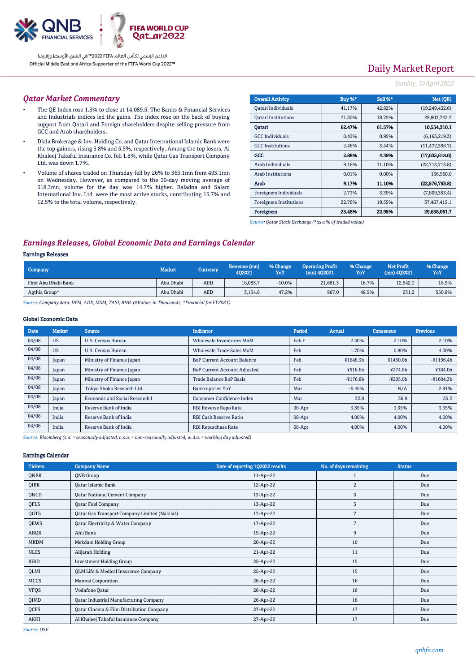

# Daily Market Report

### *Sunday, 10April2022*

#### *Qatar Market Commentary*

- The QE Index rose 1.5% to close at 14,089.5. The Banks & Financial Services and Industrials indices led the gains. The index rose on the back of buying support from Qatari and Foreign shareholders despite selling pressure from GCC and Arab shareholders.
- Dlala Brokerage & Inv. Holding Co. and Qatar International Islamic Bank were the top gainers, rising 5.8% and 5.5%, respectively. Among the top losers, Al Khaleej Takaful Insurance Co. fell 1.8%, while Qatar Gas Transport Company Ltd. was down 1.7%.
- Volume of shares traded on Thursday fell by 26% to 365.1mn from 493.1mn on Wednesday. However, as compared to the 30-day moving average of 318.3mn, volume for the day was 14.7% higher. Baladna and Salam International Inv. Ltd. were the most active stocks, contributing 15.7% and 12.5% to the total volume, respectively.

| <b>Overall Activity</b>        | <b>Buy %*</b> | Sell %* | Net (QR)         |
|--------------------------------|---------------|---------|------------------|
| Qatari Individuals             | 41.17%        | 42.82%  | (19, 249, 432.6) |
| <b>Oatari Institutions</b>     | 21.30%        | 18.75%  | 29,803,742.7     |
| Oatari                         | 62.47%        | 61.57%  | 10.554.310.1     |
| <b>GCC</b> Individuals         | 0.42%         | 0.95%   | (6, 163, 219.3)  |
| <b>GCC</b> Institutions        | 2.46%         | 3.44%   | (11, 472, 398.7) |
| GCC                            | 2.88%         | 4.39%   | (17,635,618.0)   |
| Arab Individuals               | 9.16%         | 11.10%  | (22, 713, 713.8) |
| Arab Institutions              | 0.01%         | 0.00%   | 136,960.0        |
| Arab                           | 9.17%         | 11.10%  | (22.576.753.8)   |
| Foreigners Individuals         | 2.73%         | 3.39%   | (7,809,353.4)    |
| <b>Foreigners Institutions</b> | 22.76%        | 19.55%  | 37,467,415.1     |
| <b>Foreigners</b>              | 25.48%        | 22.95%  | 29.658.061.7     |

*Source: Qatar Stock Exchange (\*as a % of traded value)*

## *Earnings Releases, Global Economic Data and Earnings Calendar*

#### Earnings Releases

| Company              | <b>Market</b> | Currency   | Revenue (mn)<br>402021 | % Change<br>YoY | <b>Operating Profit</b><br>$(mn)$ 402021 | 1% Change<br>YoY | <b>Net Profit</b><br>(mn) 402021 | % Change<br>YoY |
|----------------------|---------------|------------|------------------------|-----------------|------------------------------------------|------------------|----------------------------------|-----------------|
| First Abu Dhabi Bank | Abu Dhabi     | <b>AED</b> | 18,083.7               | $-10.0%$        | 21,681.3                                 | 16.7%            | 12,542.3                         | 18.9%           |
| Agthia Group*        | Abu Dhabi     | <b>AED</b> | 3.154.6                | 47.2%           | 967.0                                    | 48.5%            | 231.2                            | 550.9%          |

*Source: Company data: DFM, ADX, MSM, TASI, BHB. (#Values in Thousands, \*Financial for FY2021)*

#### Global Economic Data

| <b>Date</b> | <b>Market</b> | <b>Source</b>                         | <b>Indicator</b>                    | Period | <b>Actual</b> | <b>Consensus</b> | <b>Previous</b> |
|-------------|---------------|---------------------------------------|-------------------------------------|--------|---------------|------------------|-----------------|
| 04/08       | <b>US</b>     | <b>U.S. Census Bureau</b>             | <b>Wholesale Inventories MoM</b>    | Feb F  | 2.50%         | 2.10%            | 2.10%           |
| 04/08       | <b>US</b>     | U.S. Census Bureau                    | <b>Wholesale Trade Sales MoM</b>    | Feb    | 1.70%         | 0.80%            | 4.00%           |
| 04/08       | Japan         | Ministry of Finance Japan             | <b>BoP Current Account Balance</b>  | Feb    | ¥1648.3b      | ¥1450.0b         | $-41196.4b$     |
| 04/08       | Japan         | Ministry of Finance Japan             | <b>BoP Current Account Adjusted</b> | Feb    | ¥516.6b       | ¥274.8b          | ¥184.0b         |
| 04/08       | Japan         | Ministry of Finance Japan             | Trade Balance BoP Basis             | Feb    | $-4176.8b$    | $-4205.0b$       | $-41604.3b$     |
| 04/08       | Japan         | Tokyo Shoko Research Ltd.             | Bankruptcies YoY                    | Mar    | $-6.46%$      | N/A              | 2.91%           |
| 04/08       | Japan         | <b>Economic and Social Research I</b> | Consumer Confidence Index           | Mar    | 32.8          | 36.8             | 35.2            |
| 04/08       | India         | Reserve Bank of India                 | <b>RBI Reverse Repo Rate</b>        | 08-Apr | 3.35%         | 3.35%            | 3.35%           |
| 04/08       | India         | Reserve Bank of India                 | <b>RBI Cash Reserve Ratio</b>       | 08-Apr | 4.00%         | 4.00%            | 4.00%           |
| 04/08       | India         | Reserve Bank of India                 | <b>RBI Repurchase Rate</b>          | 08-Apr | 4.00%         | 4.00%            | 4.00%           |

*Source: Bloomberg (s.a. = seasonally adjusted; n.s.a. = non-seasonally adjusted; w.d.a. = working day adjusted)*

#### Earnings Calendar

| <b>Tickers</b> | <b>Company Name</b>                           | Date of reporting 1Q2022 results | No. of days remaining | <b>Status</b> |
|----------------|-----------------------------------------------|----------------------------------|-----------------------|---------------|
| QNBK           | QNB Group                                     | 11-Apr-22                        |                       | Due           |
| QIBK           | <b>Qatar Islamic Bank</b>                     | 12-Apr-22                        | $\overline{2}$        | Due           |
| QNCD           | <b>Qatar National Cement Company</b>          | 13-Apr-22                        | 3                     | Due           |
| QFLS           | Qatar Fuel Company                            | 13-Apr-22                        | $\sqrt{3}$            | Due           |
| QGTS           | Qatar Gas Transport Company Limited (Nakilat) | 17-Apr-22                        | 7                     | Due           |
| QEWS           | Qatar Electricity & Water Company             | 17-Apr-22                        | 7                     | Due           |
| ABQK           | Ahli Bank                                     | 19-Apr-22                        | 9                     | Due           |
| <b>MKDM</b>    | Mekdam Holding Group                          | 20-Apr-22                        | 10                    | Due           |
| <b>NLCS</b>    | Alijarah Holding                              | 21-Apr-22                        | 11                    | Due           |
| IGRD           | <b>Investment Holding Group</b>               | 25-Apr-22                        | 15                    | Due           |
| QLMI           | QLM Life & Medical Insurance Company          | 25-Apr-22                        | 15                    | Due           |
| <b>MCCS</b>    | Mannai Corporation                            | 26-Apr-22                        | 16                    | Due           |
| <b>VFQS</b>    | Vodafone Qatar                                | 26-Apr-22                        | 16                    | Due           |
| QIMD           | <b>Qatar Industrial Manufacturing Company</b> | 26-Apr-22                        | 16                    | Due           |
| QCFS           | Qatar Cinema & Film Distribution Company      | 27-Apr-22                        | 17                    | Due           |
| AKHI           | Al Khaleej Takaful Insurance Company          | 27-Apr-22                        | 17                    | Due           |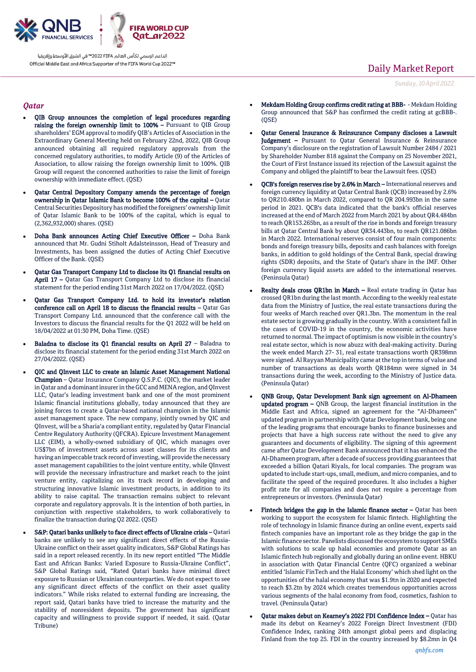

### *Qatar*

- QIB Group announces the completion of legal procedures regarding raising the foreign ownership limit to 100% – Pursuant to QIB Group shareholders' EGM approval to modify QIB's Articles of Association in the Extraordinary General Meeting held on February 22nd, 2022, QIB Group announced obtaining all required regulatory approvals from the concerned regulatory authorities, to modify Article (9) of the Articles of Association, to allow raising the foreign ownership limit to 100%. QIB Group will request the concerned authorities to raise the limit of foreign ownership with immediate effect. (QSE)
- Qatar Central Depository Company amends the percentage of foreign ownership in Qatar Islamic Bank to become 100% of the capital – Qatar Central Securities Depository has modified the foreigners' ownership limit of Qatar Islamic Bank to be 100% of the capital, which is equal to (2,362,932,000) shares. (QSE)
- Doha Bank announces Acting Chief Executive Officer Doha Bank announced that Mr. Gudni Stiholt Adalsteinsson, Head of Treasury and Investments, has been assigned the duties of Acting Chief Executive Officer of the Bank. (QSE)
- Qatar Gas Transport Company Ltd to disclose its Q1 financial results on April 17 - Qatar Gas Transport Company Ltd to disclose its financial statement for the period ending 31st March 2022 on 17/04/2022. (QSE)
- Qatar Gas Transport Company Ltd. to hold its investor's relation conference call on April 18 to discuss the financial results – Qatar Gas Transport Company Ltd. announced that the conference call with the Investors to discuss the financial results for the Q1 2022 will be held on 18/04/2022 at 01:30 PM, Doha Time. (QSE)
- Baladna to disclose its Q1 financial results on April 27 Baladna to disclose its financial statement for the period ending 31st March 2022 on 27/04/2022. (QSE)
- QIC and QInvest LLC to create an Islamic Asset Management National Champion – Qatar Insurance Company Q.S.P.C. (QIC), the market leader in Qatar and a dominant insurer in the GCC and MENA region, and QInvest LLC, Qatar's leading investment bank and one of the most prominent Islamic financial institutions globally, today announced that they are joining forces to create a Qatar-based national champion in the Islamic asset management space. The new company, jointly owned by QIC and QInvest, will be a Sharia'a compliant entity, regulated by Qatar Financial Centre Regulatory Authority (QFCRA). Epicure Investment Management LLC (EIM), a wholly-owned subsidiary of QIC, which manages over US\$7bn of investment assets across asset classes for its clients and having an impeccable track record of investing, will provide the necessary asset management capabilities to the joint venture entity, while QInvest will provide the necessary infrastructure and market reach to the joint venture entity, capitalizing on its track record in developing and structuring innovative Islamic investment products, in addition to its ability to raise capital. The transaction remains subject to relevant corporate and regulatory approvals. It is the intention of both parties, in conjunction with respective stakeholders, to work collaboratively to finalize the transaction during Q2 2022. (QSE)
- S&P: Qatari banks unlikely to face direct effects of Ukraine crisis Qatari banks are unlikely to see any significant direct effects of the Russia-Ukraine conflict on their asset quality indicators, S&P Global Ratings has said in a report released recently. In its new report entitled "The Middle East and African Banks: Varied Exposure to Russia-Ukraine Conflict", S&P Global Ratings said, "Rated Qatari banks have minimal direct exposure to Russian or Ukrainian counterparties. We do not expect to see any significant direct effects of the conflict on their asset quality indicators." While risks related to external funding are increasing, the report said, Qatari banks have tried to increase the maturity and the stability of nonresident deposits. The government has significant capacity and willingness to provide support if needed, it said. (Qatar Tribune)

# Daily Market Report

*Sunday, 10April2022*

- Mekdam Holding Group confirms credit rating at BBB- Mekdam Holding Group announced that S&P has confirmed the credit rating at gcBBB-.  $(OSE)$
- Qatar General Insurance & Reinsurance Company discloses a Lawsuit Judgement – Pursuant to Qatar General Insurance & Reinsurance Company's disclosure on the registration of Lawsuit Number 2484 / 2021 by Shareholder Number 818 against the Company on 25 November 2021, the Court of First Instance issued its rejection of the Lawsuit against the Company and obliged the plaintiff to bear the Lawsuit fees. (QSE)
- QCB's foreign reserves rise by 2.6% in March International reserves and foreign currency liquidity at Qatar Central Bank (QCB) increased by 2.6% to QR210.480bn in March 2022, compared to QR 204.993bn in the same period in 2021. QCB's data indicated that the bank's official reserves increased at the end of March 2022 from March 2021 by about QR4.484bn to reach QR153.265bn, as a result of the rise in bonds and foreign treasury bills at Qatar Central Bank by about QR34.443bn, to reach QR121.086bn in March 2022. International reserves consist of four main components: bonds and foreign treasury bills, deposits and cash balances with foreign banks, in addition to gold holdings of the Central Bank, special drawing rights (SDR) deposits, and the State of Qatar's share in the IMF. Other foreign currency liquid assets are added to the international reserves. (Peninsula Qatar)
- Realty deals cross QR1bn in March Real estate trading in Qatar has crossed QR1bn during the last month. According to the weekly real estate data from the Ministry of Justice, the real estate transactions during the four weeks of March reached over QR1.3bn. The momentum in the real estate sector is growing gradually in the country. With a consistent fall in the cases of COVID-19 in the country, the economic activities have returned to normal. The impact of optimism is now visible in the country's real estate sector, which is now abuzz with deal-making activity. During the week ended March 27- 31, real estate transactions worth QR398mn were signed. Al Rayyan Municipality came at the top in terms of value and number of transactions as deals worth QR184mn were signed in 34 transactions during the week, according to the Ministry of Justice data. (Peninsula Qatar)
- QNB Group, Qatar Development Bank sign agreement on Al-Dhameen updated program – QNB Group, the largest financial institution in the Middle East and Africa, signed an agreement for the "Al-Dhameen" updated program in partnership with Qatar Development bank, being one of the leading programs that encourage banks to finance businesses and projects that have a high success rate without the need to give any guarantees and documents of eligibility. The signing of this agreement came after Qatar Development Bank announced that it has enhanced the Al-Dhameen program, after a decade of success providing guarantees that exceeded a billion Qatari Riyals, for local companies. The program was updated to include start-ups, small, medium, and micro companies, and to facilitate the speed of the required procedures. It also includes a higher profit rate for all companies and does not require a percentage from entrepreneurs or investors. (Peninsula Qatar)
- Fintech bridges the gap in the Islamic finance sector  $-$  Qatar has been working to support the ecosystem for Islamic fintech. Highlighting the role of technology in Islamic finance during an online event, experts said fintech companies have an important role as they bridge the gap in the Islamic finance sector. Panelists discussed the ecosystem to support SMEs with solutions to scale up halal economies and promote Qatar as an Islamic fintech hub regionally and globally during an online event. HBKU in association with Qatar Financial Centre (QFC) organized a webinar entitled 'Islamic FinTech and the Halal Economy' which shed light on the opportunities of the halal economy that was \$1.9tn in 2020 and expected to reach \$3.2tn by 2024 which creates tremendous opportunities across various segments of the halal economy from food, cosmetics, fashion to travel. (Peninsula Qatar)
- Qatar makes debut on Kearney's 2022 FDI Confidence Index Qatar has made its debut on Kearney's 2022 Foreign Direct Investment (FDI) Confidence Index, ranking 24th amongst global peers and displacing Finland from the top 25. FDI in the country increased by \$8.2mn in Q4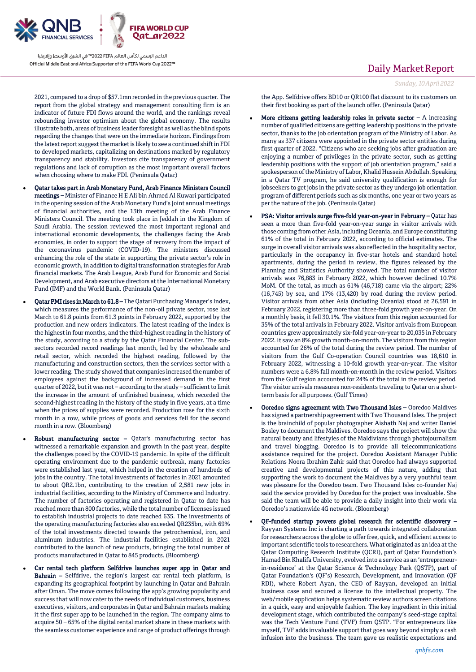

2021, compared to a drop of \$57.1mn recorded in the previous quarter. The report from the global strategy and management consulting firm is an indicator of future FDI flows around the world, and the rankings reveal rebounding investor optimism about the global economy. The results illustrate both, areas of business leader foresight as well as the blind spots regarding the changes that were on the immediate horizon. Findings from the latest report suggest the market is likely to see a continued shift in FDI to developed markets, capitalizing on destinations marked by regulatory transparency and stability. Investors cite transparency of government regulations and lack of corruption as the most important overall factors when choosing where to make FDI. (Peninsula Qatar)

- Qatar takes part in Arab Monetary Fund, Arab Finance Ministers Council meetings – Minister of Finance H E Ali bin Ahmed Al Kuwari participated in the opening session of the Arab Monetary Fund's Joint annual meetings of financial authorities, and the 13th meeting of the Arab Finance Ministers Council. The meeting took place in Jeddah in the Kingdom of Saudi Arabia. The session reviewed the most important regional and international economic developments, the challenges facing the Arab economies, in order to support the stage of recovery from the impact of the coronavirus pandemic (COVID-19). The ministers discussed enhancing the role of the state in supporting the private sector's role in economic growth, in addition to digital transformation strategies for Arab financial markets. The Arab League, Arab Fund for Economic and Social Development, and Arab executive directors at the International Monetary Fund (IMF) and the World Bank. (Peninsula Qatar)
- Qatar PMI rises in March to 61.8 The Qatari Purchasing Manager's Index, which measures the performance of the non-oil private sector, rose last March to 61.8 points from 61.3 points in February 2022, supported by the production and new orders indicators. The latest reading of the index is the highest in four months, and the third-highest reading in the history of the study, according to a study by the Qatar Financial Center. The subsectors recorded record readings last month, led by the wholesale and retail sector, which recorded the highest reading, followed by the manufacturing and construction sectors, then the services sector with a lower reading. The study showed that companies increased the number of employees against the background of increased demand in the first quarter of 2022, but it was not – according to the study – sufficient to limit the increase in the amount of unfinished business, which recorded the second-highest reading in the history of the study in five years, at a time when the prices of supplies were recorded. Production rose for the sixth month in a row, while prices of goods and services fell for the second month in a row. (Bloomberg)
- Robust manufacturing sector Qatar's manufacturing sector has witnessed a remarkable expansion and growth in the past year, despite the challenges posed by the COVID-19 pandemic. In spite of the difficult operating environment due to the pandemic outbreak, many factories were established last year, which helped in the creation of hundreds of jobs in the country. The total investments of factories in 2021 amounted to about QR2.1bn, contributing to the creation of 2,581 new jobs in industrial facilities, according to the Ministry of Commerce and Industry. The number of factories operating and registered in Qatar to date has reached more than 800 factories, while the total number of licenses issued to establish industrial projects to date reached 635. The investments of the operating manufacturing factories also exceeded QR235bn, with 69% of the total investments directed towards the petrochemical, iron, and aluminum industries. The industrial facilities established in 2021 contributed to the launch of new products, bringing the total number of products manufactured in Qatar to 845 products. (Bloomberg)
- Car rental tech platform Selfdrive launches super app in Qatar and Bahrain – Selfdrive, the region's largest car rental tech platform, is expanding its geographical footprint by launching in Qatar and Bahrain after Oman. The move comes following the app's growing popularity and success that will now cater to the needs of individual customers, business executives, visitors, and corporates in Qatar and Bahrain markets making it the first super app to be launched in the region. The company aims to acquire 50 – 65% of the digital rental market share in these markets with the seamless customer experience and range of product offerings through

## Daily Market Report

the App. Selfdrive offers BD10 or QR100 flat discount to its customers on their first booking as part of the launch offer. (Peninsula Qatar)

- More citizens getting leadership roles in private sector  $-$  A increasing number of qualified citizens are getting leadership positions in the private sector, thanks to the job orientation program of the Ministry of Labor. As many as 337 citizens were appointed in the private sector entities during first quarter of 2022. "Citizens who are seeking jobs after graduation are enjoying a number of privileges in the private sector, such as getting leadership positions with the support of job orientation program," said a spokesperson of the Ministry of Labor, Khalid Hussein Abdullah. Speaking in a Qatar TV program, he said university qualification is enough for jobseekers to get jobs in the private sector as they undergo job orientation program of different periods such as six months, one year or two years as per the nature of the job. (Peninsula Qatar)
- PSA: Visitor arrivals surge five-fold year-on-year in February Qatar has seen a more than five-fold year-on-year surge in visitor arrivals with those coming from other Asia, including Oceania, and Europe constituting 61% of the total in February 2022, according to official estimates. The surge in overall visitor arrivals was also reflected in the hospitality sector, particularly in the occupancy in five-star hotels and standard hotel apartments, during the period in review, the figures released by the Planning and Statistics Authority showed. The total number of visitor arrivals was 76,883 in February 2022, which however declined 10.7% MoM. Of the total, as much as 61% (46,718) came via the airport; 22% (16,745) by sea, and 17% (13,420) by road during the review period. Visitor arrivals from other Asia (including Oceania) stood at 26,591 in February 2022, registering more than three-fold growth year-on-year. On a monthly basis, it fell 30.1%. The visitors from this region accounted for 35% of the total arrivals in February 2022. Visitor arrivals from European countries grew approximately six-fold year-on-year to 20,035 in February 2022. It saw an 8% growth month-on-month. The visitors from this region accounted for 26% of the total during the review period. The number of visitors from the Gulf Co-operation Council countries was 18,610 in February 2022, witnessing a 10-fold growth year-on-year. The visitor numbers were a 6.8% fall month-on-month in the review period. Visitors from the Gulf region accounted for 24% of the total in the review period. The visitor arrivals measures non-residents traveling to Qatar on a shortterm basis for all purposes. (Gulf Times)
- Ooredoo signs agreement with Two Thousand Isles Ooredoo Maldives has signed a partnership agreement with Two Thousand Isles. The project is the brainchild of popular photographer Aishath Naj and writer Daniel Bosley to document the Maldives. Ooredoo says the project will show the natural beauty and lifestyles of the Maldivians through photojournalism and travel blogging. Ooredoo is to provide all telecommunications assistance required for the project. Ooredoo Assistant Manager Public Relations Noora Ibrahim Zahir said that Ooredoo had always supported creative and developmental projects of this nature, adding that supporting the work to document the Maldives by a very youthful team was pleasure for the Ooredoo team. Two Thousand Isles co-founder Naj said the service provided by Ooredoo for the project was invaluable. She said the team will be able to provide a daily insight into their work via Ooredoo's nationwide 4G network. (Bloomberg)
- QF-funded startup powers global research for scientific discovery Rayyan Systems Inc is charting a path towards integrated collaboration for researchers across the globe to offer free, quick, and efficient access to important scientific tools to researchers. What originated as an idea at the Qatar Computing Research Institute (QCRI), part of Qatar Foundation's Hamad Bin Khalifa University, evolved into a service as an 'entrepreneurin-residence' at the Qatar Science & Technology Park (QSTP), part of Qatar Foundation's (QF's) Research, Development, and Innovation (QF RDI), where Robert Ayan, the CEO of Rayyan, developed an initial business case and secured a license to the intellectual property. The web/mobile application helps systematic review authors screen citations in a quick, easy and enjoyable fashion. The key ingredient in this initial development stage, which contributed the company's seed-stage capital was the Tech Venture Fund (TVF) from QSTP. "For entrepreneurs like myself, TVF adds invaluable support that goes way beyond simply a cash infusion into the business. The team gave us realistic expectations and

*Sunday, 10April2022*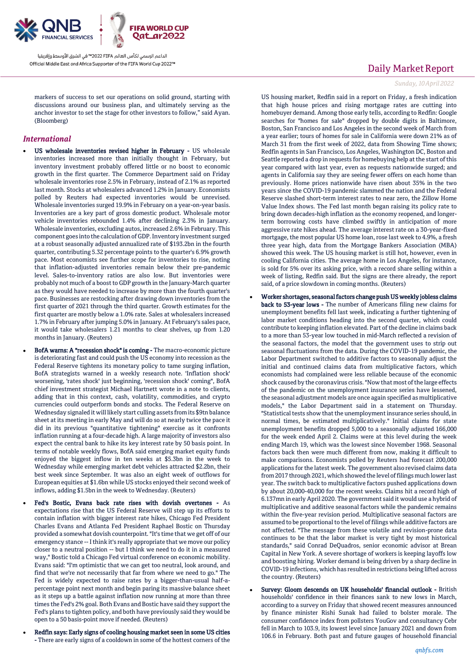

markers of success to set our operations on solid ground, starting with discussions around our business plan, and ultimately serving as the anchor investor to set the stage for other investors to follow," said Ayan. (Bloomberg)

### *International*

- US wholesale inventories revised higher in February US wholesale inventories increased more than initially thought in February, but inventory investment probably offered little or no boost to economic growth in the first quarter. The Commerce Department said on Friday wholesale inventories rose 2.5% in February, instead of 2.1% as reported last month. Stocks at wholesalers advanced 1.2% in January. Economists polled by Reuters had expected inventories would be unrevised. Wholesale inventories surged 19.9% in February on a year-on-year basis. Inventories are a key part of gross domestic product. Wholesale motor vehicle inventories rebounded 1.4% after declining 2.3% in January. Wholesale inventories, excluding autos, increased 2.6% in February. This component goes into the calculation of GDP. Inventory investment surged at a robust seasonally adjusted annualized rate of \$193.2bn in the fourth quarter, contributing 5.32 percentage points to the quarter's 6.9% growth pace. Most economists see further scope for inventories to rise, noting that inflation-adjusted inventories remain below their pre-pandemic level. Sales-to-inventory ratios are also low. But inventories were probably not much of a boost to GDP growth in the January-March quarter as they would have needed to increase by more than the fourth quarter's pace. Businesses are restocking after drawing down inventories from the first quarter of 2021 through the third quarter. Growth estimates for the first quarter are mostly below a 1.0% rate. Sales at wholesalers increased 1.7% in February after jumping 5.0% in January. At February's sales pace, it would take wholesalers 1.21 months to clear shelves, up from 1.20 months in January. (Reuters)
- BofA warns: A "recession shock" is coming The macro-economic picture is deteriorating fast and could push the US economy into recession as the Federal Reserve tightens its monetary policy to tame surging inflation, BofA strategists warned in a weekly research note. 'Inflation shock' worsening, 'rates shock' just beginning, 'recession shock' coming", BofA chief investment strategist Michael Hartnett wrote in a note to clients, adding that in this context, cash, volatility, commodities, and crypto currencies could outperform bonds and stocks. The Federal Reserve on Wednesday signaled it will likely start culling assets from its \$9tn balance sheet at its meeting in early May and will do so at nearly twice the pace it did in its previous "quantitative tightening" exercise as it confronts inflation running at a four-decade high. A large majority of investors also expect the central bank to hike its key interest rate by 50 basis point. In terms of notable weekly flows, BofA said emerging market equity funds enjoyed the biggest inflow in ten weeks at \$5.3bn in the week to Wednesday while emerging market debt vehicles attracted \$2.2bn, their best week since September. It was also an eight week of outflows for European equities at \$1.6bn while US stocks enjoyed their second week of inflows, adding \$1.5bn in the week to Wednesday. (Reuters)
- Fed's Bostic, Evans back rate rises with dovish overtones As expectations rise that the US Federal Reserve will step up its efforts to contain inflation with bigger interest rate hikes, Chicago Fed President Charles Evans and Atlanta Fed President Raphael Bostic on Thursday provided a somewhat dovish counterpoint. "It's time that we get off of our emergency stance --I think it's really appropriate that we move our policy closer to a neutral position -- but I think we need to do it in a measured way," Bostic told a Chicago Fed virtual conference on economic mobility. Evans said: "I'm optimistic that we can get too neutral, look around, and find that we're not necessarily that far from where we need to go." The Fed is widely expected to raise rates by a bigger-than-usual half-apercentage point next month and begin paring its massive balance sheet as it steps up a battle against inflation now running at more than three times the Fed's 2% goal. Both Evans and Bostic have said they support the Fed's plans to tighten policy, and both have previously said they would be open to a 50 basis-point move if needed. (Reuters)
- Redfin says: Early signs of cooling housing market seen in some US cities - There are early signs of a cooldown in some of the hottest corners of the

## Daily Market Report

#### *Sunday, 10April2022*

US housing market, Redfin said in a report on Friday, a fresh indication that high house prices and rising mortgage rates are cutting into homebuyer demand. Among those early tells, according to Redfin: Google searches for "homes for sale" dropped by double digits in Baltimore, Boston, San Francisco and Los Angeles in the second week of March from a year earlier; tours of homes for sale in California were down 21% as of March 31 from the first week of 2022, data from Showing Time shows; Redfin agents in San Francisco, Los Angeles, Washington DC, Boston and Seattle reported a drop in requests for homebuying help at the start of this year compared with last year, even as requests nationwide surged; and agents in California say they are seeing fewer offers on each home than previously. Home prices nationwide have risen about 35% in the two years since the COVID-19 pandemic slammed the nation and the Federal Reserve slashed short-term interest rates to near zero, the Zillow Home Value Index shows. The Fed last month began raising its policy rate to bring down decades-high inflation as the economy reopened, and longerterm borrowing costs have climbed swiftly in anticipation of more aggressive rate hikes ahead. The average interest rate on a 30-year-fixed mortgage, the most popular US home loan, rose last week to 4.9%, a fresh three year high, data from the Mortgage Bankers Association (MBA) showed this week. The US housing market is still hot, however, even in cooling California cities. The average home in Los Angeles, for instance, is sold for 5% over its asking price, with a record share selling within a week of listing, Redfin said. But the signs are there already, the report said, of a price slowdown in coming months. (Reuters)

- Worker shortages, seasonal factors change push US weekly jobless claims back to 53-year lows - The number of Americans filing new claims for unemployment benefits fell last week, indicating a further tightening of labor market conditions heading into the second quarter, which could contribute to keeping inflation elevated. Part of the decline in claims back to a more than 53-year low touched in mid-March reflected a revision of the seasonal factors, the model that the government uses to strip out seasonal fluctuations from the data. During the COVID-19 pandemic, the Labor Department switched to additive factors to seasonally adjust the initial and continued claims data from multiplicative factors, which economists had complained were less reliable because of the economic shock caused by the coronavirus crisis. "Now that most of the large effects of the pandemic on the unemployment insurance series have lessened, the seasonal adjustment models are once again specified as multiplicative models," the Labor Department said in a statement on Thursday. "Statistical tests show that the unemployment insurance series should, in normal times, be estimated multiplicatively." Initial claims for state unemployment benefits dropped 5,000 to a seasonally adjusted 166,000 for the week ended April 2. Claims were at this level during the week ending March 19, which was the lowest since November 1968. Seasonal factors back then were much different from now, making it difficult to make comparisons. Economists polled by Reuters had forecast 200,000 applications for the latest week. The government also revised claims data from 2017 through 2021, which showed the level of filings much lower last year. The switch back to multiplicative factors pushed applications down by about 20,000-40,000 for the recent weeks. Claims hit a record high of 6.137mn in early April 2020. The government said it would use a hybrid of multiplicative and additive seasonal factors while the pandemic remains within the five-year revision period. Multiplicative seasonal factors are assumed to be proportional to the level of filings while additive factors are not affected. "The message from these volatile and revision-prone data continues to be that the labor market is very tight by most historical standards," said Conrad DeQuadros, senior economic advisor at Brean Capital in New York. A severe shortage of workers is keeping layoffs low and boosting hiring. Worker demand is being driven by a sharp decline in COVID-19 infections, which has resulted in restrictions being lifted across the country. (Reuters)
- Survey: Gloom descends on UK households' financial outlook British households' confidence in their finances sank to new lows in March, according to a survey on Friday that showed recent measures announced by finance minister Rishi Sunak had failed to bolster morale. The consumer confidence index from pollsters YouGov and consultancy Cebr fell in March to 103.9, its lowest level since January 2021 and down from 106.6 in February. Both past and future gauges of household financial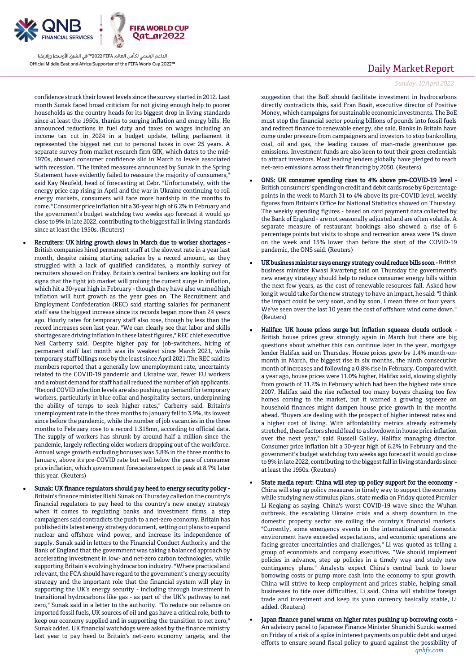

confidence struck their lowest levels since the survey started in 2012. Last month Sunak faced broad criticism for not giving enough help to poorer households as the country heads for its biggest drop in living standards since at least the 1950s, thanks to surging inflation and energy bills. He announced reductions in fuel duty and taxes on wages including an income tax cut in 2024 in a budget update, telling parliament it represented the biggest net cut to personal taxes in over 25 years. A separate survey from market research firm GfK, which dates to the mid-1970s, showed consumer confidence slid in March to levels associated with recession. "The limited measures announced by Sunak in the Spring Statement have evidently failed to reassure the majority of consumers," said Kay Neufeld, head of forecasting at Cebr. "Unfortunately, with the energy price cap rising in April and the war in Ukraine continuing to roil energy markets, consumers will face more hardship in the months to come." Consumer price inflation hit a 30-year high of 6.2% in February and the government's budget watchdog two weeks ago forecast it would go close to 9% in late 2022, contributing to the biggest fall in living standards since at least the 1950s. (Reuters)

- Recruiters: UK hiring growth slows in March due to worker shortages British companies hired permanent staff at the slowest rate in a year last month, despite raising starting salaries by a record amount, as they struggled with a lack of qualified candidates, a monthly survey of recruiters showed on Friday. Britain's central bankers are looking out for signs that the tight job market will prolong the current surge in inflation, which hit a 30-year high in February -though they have also warned high inflation will hurt growth as the year goes on. The Recruitment and Employment Confederation (REC) said starting salaries for permanent staff saw the biggest increase since its records began more than 24 years ago. Hourly rates for temporary staff also rose, though by less than the record increases seen last year. "We can clearly see that labor and skills shortages are driving inflation in these latest figures," REC chief executive Neil Carberry said. Despite higher pay for job-switchers, hiring of permanent staff last month was its weakest since March 2021, while temporary staff billings rose by the least since April 2021.The REC said its members reported that a generally low unemployment rate, uncertainty related to the COVID-19 pandemic and Ukraine war, fewer EU workers and a robust demand for staff had all reduced the number of job applicants. "Record COVID infection levels are also pushing up demand for temporary workers, particularly in blue collar and hospitality sectors, underpinning the ability of temps to seek higher rates," Carberry said. Britain's unemployment rate in the three months to January fell to 3.9%, its lowest since before the pandemic, while the number of job vacancies in the three months to February rose to a record 1.318mn, according to official data. The supply of workers has shrunk by around half a million since the pandemic, largely reflecting older workers dropping out of the workforce. Annual wage growth excluding bonuses was 3.8% in the three months to January, above its pre-COVID rate but well below the pace of consumer price inflation, which government forecasters expect to peak at 8.7% later this year. (Reuters)
- Sunak: UK finance regulators should pay heed to energy security policy Britain's finance minister Rishi Sunak on Thursday called on the country's financial regulators to pay heed to the country's new energy strategy when it comes to regulating banks and investment firms, a step campaigners said contradicts the push to a net-zero economy. Britain has published its latest energy strategy document, setting out plans to expand nuclear and offshore wind power, and increase its independence of supply. Sunak said in letters to the Financial Conduct Authority and the Bank of England that the government was taking a balanced approach by accelerating investment in low- and net-zero carbon technologies, while supporting Britain's evolving hydrocarbon industry. "Where practical and relevant, the FCA should have regard to the government's energy security strategy and the important role that the financial system will play in supporting the UK's energy security - including through investment in transitional hydrocarbons like gas - as part of the UK's pathway to net zero," Sunak said in a letter to the authority. "To reduce our reliance on imported fossil fuels, UK sources of oil and gas have a critical role, both to keep our economy supplied and in supporting the transition to net zero," Sunak added. UK financial watchdogs were asked by the finance ministry last year to pay heed to Britain's net-zero economy targets, and the

## Daily Market Report

*Sunday, 10April2022*

suggestion that the BoE should facilitate investment in hydrocarbons directly contradicts this, said Fran Boait, executive director of Positive Money, which campaigns for sustainable economic investments. The BoE must stop the financial sector pouring billions of pounds into fossil fuels and redirect finance to renewable energy, she said. Banks in Britain have come under pressure from campaigners and investors to stop bankrolling coal, oil and gas, the leading causes of man-made greenhouse gas emissions. Investment funds are also keen to tout their green credentials to attract investors. Most leading lenders globally have pledged to reach net-zero emissions across their financing by 2050. (Reuters)

- ONS: UK consumer spending rises to 4% above pre-COVID-19 level British consumers' spending on credit and debit cards rose by 6 percentage points in the week to March 31 to 4% above its pre-COVID level, weekly figures from Britain's Office for National Statistics showed on Thursday. The weekly spending figures - based on card payment data collected by the Bank of England - are not seasonally adjusted and are often volatile. A separate measure of restaurant bookings also showed a rise of 6 percentage points but visits to shops and recreation areas were 1% down on the week and 15% lower than before the start of the COVID-19 pandemic, the ONS said. (Reuters)
- UK business minister says energy strategy could reduce bills soon -British business minister Kwasi Kwarteng said on Thursday the government's new energy strategy should help to reduce consumer energy bills within the next few years, as the cost of renewable resources fall. Asked how long it would take for the new strategy to have an impact, he said: "I think the impact could be very soon, and by soon, I mean three or four years. We've seen over the last 10 years the cost of offshore wind come down." (Reuters)
- Halifax: UK house prices surge but inflation squeeze clouds outlook British house prices grew strongly again in March but there are big questions about whether this can continue later in the year, mortgage lender Halifax said on Thursday. House prices grew by 1.4% month-onmonth in March, the biggest rise in six months, the ninth consecutive month of increases and following a 0.8% rise in February. Compared with a year ago, house prices were 11.0% higher, Halifax said, slowing slightly from growth of 11.2% in February which had been the highest rate since 2007. Halifax said the rise reflected too many buyers chasing too few homes coming to the market, but it warned a growing squeeze on household finances might dampen house price growth in the months ahead. "Buyers are dealing with the prospect of higher interest rates and a higher cost of living. With affordability metrics already extremely stretched, these factors should lead to a slowdown in house price inflation over the next year," said Russell Galley, Halifax managing director. Consumer price inflation hit a 30-year high of 6.2% in February and the government's budget watchdog two weeks ago forecast it would go close to 9% in late 2022, contributing to the biggest fall in living standards since at least the 1950s. (Reuters)
- State media report: China will step up policy support for the economy China will step up policy measures in timely way to support the economy while studying new stimulus plans, state media on Friday quoted Premier Li Keqiang as saying. China's worst COVID-19 wave since the Wuhan outbreak, the escalating Ukraine crisis and a sharp downturn in the domestic property sector are roiling the country's financial markets. "Currently, some emergency events in the international and domestic environment have exceeded expectations, and economic operations are facing greater uncertainties and challenges," Li was quoted as telling a group of economists and company executives. "We should implement policies in advance, step up policies in a timely way and study new contingency plans." Analysts expect China's central bank to lower borrowing costs or pump more cash into the economy to spur growth. China will strive to keep employment and prices stable, helping small businesses to tide over difficulties, Li said. China will stabilize foreign trade and investment and keep its yuan currency basically stable, Li added. (Reuters)
- *qnbfs.com* Japan finance panel warns on higher rates pushing up borrowing costs - An advisory panel to Japanese Finance Minister Shunichi Suzuki warned on Friday of a risk of a spike in interest payments on public debt and urged efforts to ensure sound fiscal policy to guard against the possibility of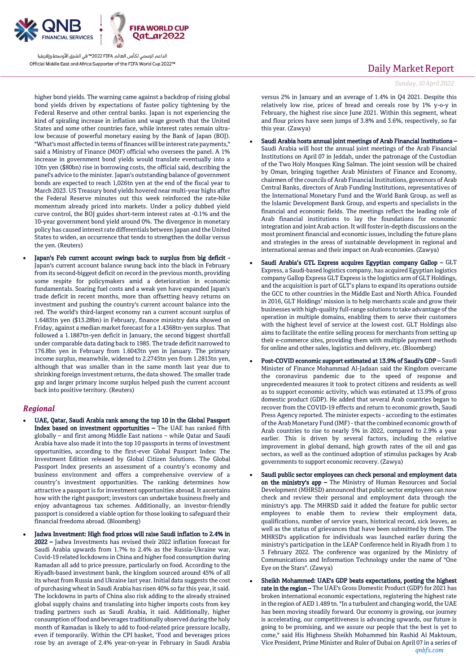

higher bond yields. The warning came against a backdrop of rising global bond yields driven by expectations of faster policy tightening by the Federal Reserve and other central banks. Japan is not experiencing the kind of spiraling increase in inflation and wage growth that the United States and some other countries face, while interest rates remain ultralow because of powerful monetary easing by the Bank of Japan (BOJ). "What's most affected in terms of finances will be interest rate payments," said a Ministry of Finance (MOF) official who oversees the panel. A 1% increase in government bond yields would translate eventually into a 10tn yen (\$80bn) rise in borrowing costs, the official said, describing the panel's advice to the minister. Japan's outstanding balance of government bonds are expected to reach 1,026tn yen at the end of the fiscal year to March 2023. US Treasury bond yields hovered near multi-year highs after the Federal Reserve minutes out this week reinforced the rate-hike momentum already priced into markets. Under a policy dubbed yield curve control, the BOJ guides short-term interest rates at -0.1% and the 10-year government bond yield around 0%. The divergence in monetary policy has caused interest rate differentials between Japan and the United States to widen, an occurrence that tends to strengthen the dollar versus the yen. (Reuters)

 Japan's Feb current account swings back to surplus from big deficit - Japan's current account balance swung back into the black in February from its second-biggest deficit on record in the previous month, providing some respite for policymakers amid a deterioration in economic fundamentals. Soaring fuel costs and a weak yen have expanded Japan's trade deficit in recent months, more than offsetting heavy returns on investment and pushing the country's current account balance into the red. The world's third-largest economy ran a current account surplus of 1.6483tn yen (\$13.28bn) in February, finance ministry data showed on Friday, against a median market forecast for a 1.4368tn-yen surplus. That followed a 1.1887tn-yen deficit in January, the second biggest shortfall under comparable data dating back to 1985. The trade deficit narrowed to 176.8bn yen in February from 1.6043tn yen in January. The primary income surplus, meanwhile, widened to 2.2745tn yen from 1.2813tn yen, although that was smaller than in the same month last year due to shrinking foreign investment returns, the data showed. The smaller trade gap and larger primary income surplus helped push the current account back into positive territory. (Reuters)

### *Regional*

- UAE, Qatar, Saudi Arabia rank among the top 10 in the Global Passport Index based on investment opportunities – The UAE has ranked fifth globally – and first among Middle East nations – while Qatar and Saudi Arabia have also made it into the top 10 passports in terms of investment opportunities, according to the first-ever Global Passport Index: The Investment Edition released by Global Citizen Solutions. The Global Passport Index presents an assessment of a country's economy and business environment and offers a comprehensive overview of a country's investment opportunities. The ranking determines how attractive a passport is for investment opportunities abroad. It ascertains how with the right passport; investors can undertake business freely and enjoy advantageous tax schemes. Additionally, an investor-friendly passport is considered a viable option for those looking to safeguard their financial freedoms abroad. (Bloomberg)
- Jadwa Investment: High food prices will raise Saudi inflation to 2.4% in 2022 – Jadwa Investments has revised their 2022 inflation forecast for Saudi Arabia upwards from 1.7% to 2.4% as the Russia-Ukraine war, Covid-19 related lockdowns in China and higher food consumption during Ramadan all add to price pressure, particularly on food. According to the Riyadh-based investment bank, the kingdom sourced around 45% of all its wheat from Russia and Ukraine last year. Initial data suggests the cost of purchasing wheat in Saudi Arabia has risen 40% so far this year, it said. The lockdowns in parts of China also risk adding to the already strained global supply chains and translating into higher imports costs from key trading partners such as Saudi Arabia, it said. Additionally, higher consumption of food and beverages traditionally observed during the holy month of Ramadan is likely to add to food-related price pressure locally, even if temporarily. Within the CPI basket, 'Food and beverages prices rose by an average of 2.4% year-on-year in February in Saudi Arabia

## Daily Market Report

*Sunday, 10April2022*

versus 2% in January and an average of 1.4% in Q4 2021. Despite this relatively low rise, prices of bread and cereals rose by 1% y-o-y in February, the highest rise since June 2021. Within this segment, wheat and flour prices have seen jumps of 3.8% and 3.6%, respectively, so far this year. (Zawya)

- Saudi Arabia hosts annual joint meetings of Arab Financial Institutions Saudi Arabia will host the annual joint meetings of the Arab Financial Institutions on April 07 in Jeddah, under the patronage of the Custodian of the Two Holy Mosques King Salman. The joint session will be chaired by Oman, bringing together Arab Ministers of Finance and Economy, chairmen of the councils of Arab Financial Institutions, governors of Arab Central Banks, directors of Arab Funding Institutions, representatives of the International Monetary Fund and the World Bank Group, as well as the Islamic Development Bank Group, and experts and specialists in the financial and economic fields. The meetings reflect the leading role of Arab financial institutions to lay the foundations for economic integration and joint Arab action. It will foster in-depth discussions on the most prominent financial and economic issues, including the future plans and strategies in the areas of sustainable development in regional and international arenas and their impact on Arab economies. (Zawya)
- Saudi Arabia's GTL Express acquires Egyptian company Gallop GLT Express, a Saudi-based logistics company, has acquired Egyptian logistics company Gallop Express GLT Express is the logistics arm of GLT Holdings, and the acquisition is part of GLT's plans to expand its operations outside the GCC to other countries in the Middle East and North Africa. Founded in 2016, GLT Holdings' mission is to help merchants scale and grow their businesses with high-quality full-range solutions to take advantage of the operation in multiple domains, enabling them to serve their customers with the highest level of service at the lowest cost. GLT Holdings also aims to facilitate the entire selling process for merchants from setting up their e-commerce sites, providing them with multiple payment methods for online and other sales, logistics and delivery, etc. (Bloomberg)
- Post-COVID economic support estimated at 13.9% of Saudi's GDP Saudi Minister of Finance Mohammad Al-Jadaan said the Kingdom overcame the coronavirus pandemic due to the speed of response and unprecedented measures it took to protect citizens and residents as well as to support economic activity, which was estimated at 13.9% of gross domestic product (GDP). He added that several Arab countries began to recover from the COVID-19 effects and return to economic growth, Saudi Press Agency reported. The minister expects - according to the estimates of the Arab Monetary Fund (IMF) - that the combined economic growth of Arab countries to rise to nearly 5% in 2022, compared to 2.9% a year earlier. This is driven by several factors, including the relative improvement in global demand, high growth rates of the oil and gas sectors, as well as the continued adoption of stimulus packages by Arab governments to support economic recovery. (Zawya)
- Saudi public sector employees can check personal and employment data on the ministry's app - The Ministry of Human Resources and Social Development (MHRSD) announced that public sector employees can now check and review their personal and employment data through the ministry's app. The MHRSD said it added the feature for public sector employees to enable them to review their employment data, qualifications, number of service years, historical record, sick leaves, as well as the status of grievances that have been submitted by them. The MHRSD's application for individuals was launched earlier during the ministry's participation in the LEAP Conference held in Riyadh from 1 to 3 February 2022. The conference was organized by the Ministry of Communications and Information Technology under the name of "One Eye on the Stars". (Zawya)
- *qnbfs.com* Sheikh Mohammed: UAE's GDP beats expectations, posting the highest rate in the region – The UAE's Gross Domestic Product (GDP) for 2021 has broken international economic expectations, registering the highest rate in the region of AED 1.489 tn. "In a turbulent and changing world, the UAE has been moving steadily forward. Our economy is growing, our journey is accelerating, our competitiveness is advancing upwards, our future is going to be promising, and we assure our people that the best is yet to come," said His Highness Sheikh Mohammed bin Rashid Al Maktoum, Vice President, Prime Minister and Ruler of Dubai on April 07 in a series of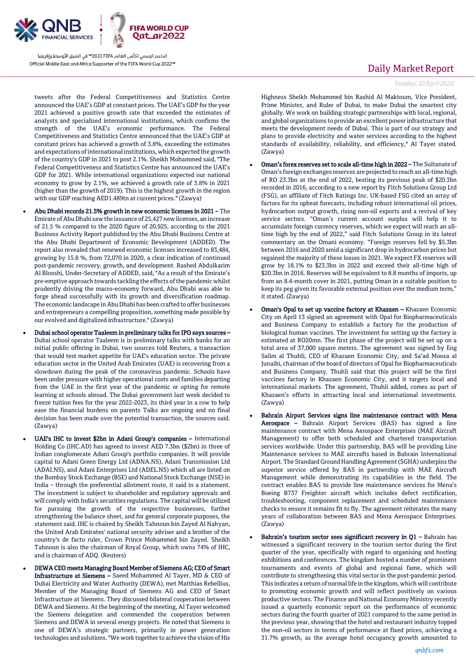

tweets after the Federal Competitiveness and Statistics Centre announced the UAE's GDP at constant prices. The UAE's GDP for the year 2021 achieved a positive growth rate that exceeded the estimates of analysts and specialized international institutions, which confirms the strength of the UAE's economic performance. The Federal Competitiveness and Statistics Centre announced that the UAE's GDP at constant prices has achieved a growth of 3.8%, exceeding the estimates and expectations of international institutions, which expected the growth of the country's GDP in 2021 to post 2.1%. Sheikh Mohammed said, "The Federal Competitiveness and Statistics Centre has announced the UAE's GDP for 2021. While international organizations expected our national economy to grow by 2.1%, we achieved a growth rate of 3.8% in 2021 (higher than the growth of 2019). This is the highest growth in the region with our GDP reaching AED1.489tn at current prices." (Zawya)

- Abu Dhabi records 21.5% growth in new economic licenses in 2021 The Emirate of Abu Dhabi saw the issuance of 25,427 new licenses, an increase of 21.5 % compared to the 2020 figure of 20,925, according to the 2021 Business Activity Report published by the Abu Dhabi Business Centre at the Abu Dhabi Department of Economic Development (ADDED). The report also revealed that renewed economic licenses increased to 83,484, growing by 15.8 %, from 72,070 in 2020, a clear indication of continued post-pandemic recovery, growth, and development. Rashed Abdulkarim Al Blooshi, Under-Secretary of ADDED, said, "As a result of the Emirate's pre-emptive approach towards tackling the effects of the pandemic whilst prudently driving the macro-economy forward, Abu Dhabi was able to forge ahead successfully with its growth and diversification roadmap. The economic landscape in Abu Dhabi has been crafted to offer businesses and entrepreneurs a compelling proposition, something made possible by our evolved and digitalized infrastructure." (Zawya)
- Dubai school operator Taaleem in preliminary talks for IPO says sources Dubai school operator Taaleem is in preliminary talks with banks for an initial public offering in Dubai, two sources told Reuters, a transaction that would test market appetite for UAE's education sector. The private education sector in the United Arab Emirates (UAE) is recovering from a slowdown during the peak of the coronavirus pandemic. Schools have been under pressure with higher operational costs and families departing from the UAE in the first year of the pandemic or opting for remote learning at schools abroad. The Dubai government last week decided to freeze tuition fees for the year 2022-2023, its third year in a row to help ease the financial burdens on parents Talks are ongoing and no final decision has been made over the potential transaction, the sources said. (Zawya)
- UAE's IHC to invest \$2bn in Adani Group's companies International Holding Co (IHC.AD) has agreed to invest AED 7.3bn (\$2bn) in three of Indian conglomerate Adani Group's portfolio companies. It will provide capital to Adani Green Energy Ltd (ADNA.NS), Adani Transmission Ltd (ADAI.NS), and Adani Enterprises Ltd (ADEL.NS) which all are listed on the Bombay Stock Exchange (BSE) and National Stock Exchange (NSE) in India – through the preferential allotment route, it said in a statement. The investment is subject to shareholder and regulatory approvals and will comply with India's securities regulations. The capital will be utilized for pursuing the growth of the respective businesses, further strengthening the balance sheet, and for general corporate purposes, the statement said. IHC is chaired by Sheikh Tahnoun bin Zayed Al Nahyan, the United Arab Emirates' national security adviser and a brother of the country's de facto ruler, Crown Prince Mohammed bin Zayed. Sheikh Tahnoun is also the chairman of Royal Group, which owns 74% of IHC, and is chairman of ADQ. (Reuters)
	- DEWA CEO meets Managing Board Member of Siemens AG; CEO of Smart Infrastructure at Siemens – Saeed Mohammed Al Tayer, MD & CEO of Dubai Electricity and Water Authority (DEWA), met Matthias Rebellius, Member of the Managing Board of Siemens AG and CEO of Smart Infrastructure at Siemens. They discussed bilateral cooperation between DEWA and Siemens. At the beginning of the meeting, Al Tayer welcomed the Siemens delegation and commended the cooperation between Siemens and DEWA in several energy projects. He noted that Siemens is one of DEWA's strategic partners, primarily in power generation technologies and solutions. "We work together to achieve the vision of His

## Daily Market Report

#### *Sunday, 10April2022*

Highness Sheikh Mohammed bin Rashid Al Maktoum, Vice President, Prime Minister, and Ruler of Dubai, to make Dubai the smartest city globally. We work on building strategic partnerships with local, regional, and global organizations to provide an excellent power infrastructure that meets the development needs of Dubai. This is part of our strategy and plans to provide electricity and water services according to the highest standards of availability, reliability, and efficiency," Al Tayer stated. (Zawya)

- Oman's forex reserves set to scale all-time high in 2022 The Sultanate of Oman's foreign exchanges reserves are projected to reach an all-time high of RO 23.3bn at the end of 2022, besting its previous peak of \$20.3bn recorded in 2016, according to a new report by Fitch Solutions Group Ltd (FSG), an affiliate of Fitch Ratings Inc. UK-based FSG cited an array of factors for its upbeat forecasts, including robust international oil prices, hydrocarbon output growth, rising non-oil exports and a revival of key service sectors. "Oman's current account surplus will help it to accumulate foreign currency reserves, which we expect will reach an alltime high by the end of 2022," said Fitch Solutions Group in its latest commentary on the Omani economy. "Foreign reserves fell by \$5.3bn between 2016 and 2020 amid a significant drop in hydrocarbon prices but regained the majority of these losses in 2021. We expect FX reserves will grow by 18.1% to \$23.3bn in 2022 and exceed their all-time high of \$20.3bn in 2016. Reserves will be equivalent to 8.8 months of imports, up from an 8.4-month cover in 2021, putting Oman in a suitable position to keep its peg given its favorable external position over the medium term," it stated. (Zawya)
- Oman's Opal to set up vaccine factory at Khazaen Khazaen Economic City on April 13 signed an agreement with Opal for Biopharmaceuticals and Business Company to establish a factory for the production of biological human vaccines. The investment for setting up the factory is estimated at RO20mn. The first phase of the project will be set up on a total area of 37,000 square meters. The agreement was signed by Eng Salim al Thuhli, CEO of Khazaen Economic City, and Sa'ad Moosa al Junaibi, chairman of the board of directors of Opal for Biopharmaceuticals and Business Company. Thuhli said that this project will be the first vaccines factory in Khazaen Economic City, and it targets local and international markets. The agreement, Thuhli added, comes as part of Khazaen's efforts in attracting local and international investments. (Zawya)
- Bahrain Airport Services signs line maintenance contract with Mena Aerospace – Bahrain Airport Services (BAS) has signed a line maintenance contract with Mena Aerospace Enterprises (MAE Aircraft Management) to offer both scheduled and chartered transportation services worldwide. Under this partnership, BAS will be providing Line Maintenance services to MAE aircrafts based in Bahrain International Airport. The Standard Ground Handling Agreement (SGHA) underpins the superior service offered by BAS in partnership with MAE Aircraft Management while demonstrating its capabilities in the field. The contract enables BAS to provide line maintenance services for Mena's Boeing B737 Freighter aircraft which includes defect rectification, troubleshooting, component replacement and scheduled maintenance checks to ensure it remains fit to fly. The agreement reiterates the many years of collaboration between BAS and Mena Aerospace Enterprises. (Zawya)
- Bahrain's tourism sector sees significant recovery in  $Q1$  Bahrain has witnessed a significant recovery in the tourism sector during the first quarter of the year, specifically with regard to organising and hosting exhibitions and conferences. The kingdom hosted a number of prominent tournaments and events of global and regional fame, which will contribute to strengthening this vital sector in the post-pandemic period. This indicates a return of normal life in the kingdom, which will contribute to promoting economic growth and will reflect positively on various productive sectors. The Finance and National Economy Ministry recently issued a quarterly economic report on the performance of economic sectors during the fourth quarter of 2021 compared to the same period in the previous year, showing that the hotel and restaurant industry topped the non-oil sectors in terms of performance at fixed prices, achieving a 31.7% growth, as the average hotel occupancy growth amounted to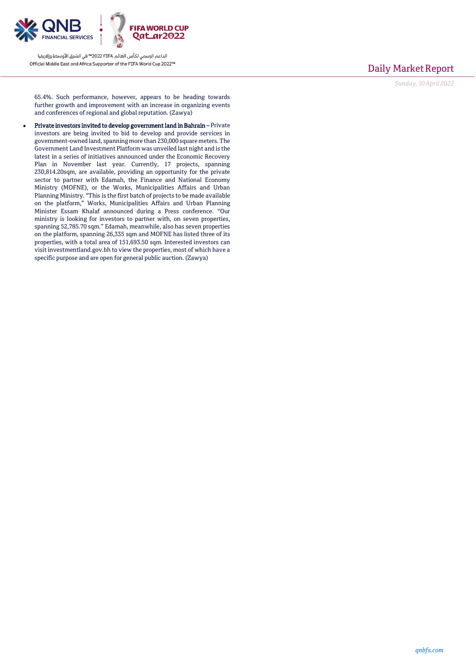

## Daily Market Report

*Sunday, 10April2022*

65.4%. Such performance, however, appears to be heading towards further growth and improvement with an increase in organizing events and conferences of regional and global reputation. (Zawya)

 Private investors invited to develop government land in Bahrain – Private investors are being invited to bid to develop and provide services in government-owned land, spanning more than 230,000 square meters. The Government Land Investment Platform was unveiled last night and is the latest in a series of initiatives announced under the Economic Recovery Plan in November last year. Currently, 17 projects, spanning 230,814.20sqm, are available, providing an opportunity for the private sector to partner with Edamah, the Finance and National Economy Ministry (MOFNE), or the Works, Municipalities Affairs and Urban Planning Ministry. "This is the first batch of projects to be made available on the platform," Works, Municipalities Affairs and Urban Planning Minister Essam Khalaf announced during a Press conference. "Our ministry is looking for investors to partner with, on seven properties, spanning 52,785.70 sqm." Edamah, meanwhile, also has seven properties on the platform, spanning 26,335 sqm and MOFNE has listed three of its properties, with a total area of 151,693.50 sqm. Interested investors can visit investmentland.gov.bh to view the properties, most of which have a specific purpose and are open for general public auction. (Zawya)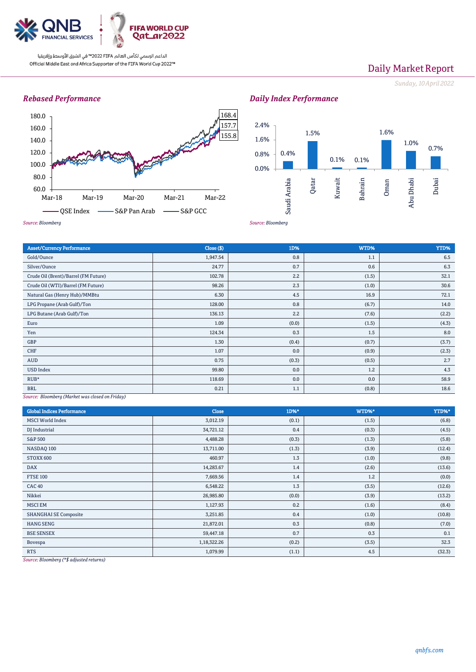

# Daily Market Report

*Sunday, 10April2022*

## *Rebased Performance*





## Asset/Currency Performance Close (\$) 1D% WTD% YTD% Gold/Ounce  $1,947.54$   $1,947.54$   $0.8$   $1.1$   $1.1$   $1.5$   $0.5$ Silver/Ounce  $\begin{array}{|c|c|c|c|c|c|}\hline \text{S3N} & \text{S4.77} & \text{S55} & \text{S56} & \text{S66} & \text{S76} \ \hline \end{array}$ Crude Oil (Brent)/Barrel (FM Future) 102.78 2.2 (1.5) 32.1 Crude Oil (WTI)/Barrel (FM Future) 98.26 2.3 (1.0) 30.6 Natural Gas (Henry Hub)/MMBtu 6.30 4.5 16.9 72.1 LPG Propane (Arab Gulf)/Ton 14.0 LPG Butane (Arab Gulf)/Ton (2.2) (7.6) (2.2) (7.6) (2.2) (7.6) (2.2) (7.6) (2.2) Euro (1.5) (4.3) (4.3) (6.0) (6.0) (6.0) (1.5) (6.1) (4.3) (4.3) Yen  $124.34$   $0.3$   $1.5$   $1.5$   $0.8$ GBP  $1.30$   $(0.4)$   $(0.7)$   $(0.7)$   $(3.7)$  $\hbox{CHF} \hskip 1.8cm (0.9) \hskip 1.8cm (0.9) \hskip 1.8cm (0.9) \hskip 1.8cm (0.9) \hskip 1.8cm (0.9) \hskip 1.8cm (0.9) \hskip 1.8cm (0.9) \hskip 1.8cm (0.9) \hskip 1.8cm (0.9) \hskip 1.8cm (0.9) \hskip 1.8cm (0.9) \hskip 1.8cm (0.9) \hskip 1.8cm (0.9) \hskip 1.8cm (0.9) \hskip 1.8cm (0.9) \hskip 1.8cm (0.9) \hskip 1$ AUD  $0.75$   $0.75$   $0.3$   $0.3$   $0.5$   $0.5$   $0.5$   $0.5$   $0.5$   $0.5$   $0.7$ USD Index  $9.80$   $9.80$   $1.2$   $1.2$   $1.3$ RUB\*  $118.69$   $0.0$   $0.0$   $0.0$   $58.9$ BRL  $0.21$   $1.1$   $0.8$   $0.8$   $1.6$

*Source: Bloomberg (Market was closed on Friday)*

| <b>Global Indices Performance</b>                                                                                             | <b>Close</b> | 1D%*  | WTD%* | YTD%*  |
|-------------------------------------------------------------------------------------------------------------------------------|--------------|-------|-------|--------|
| <b>MSCI</b> World Index                                                                                                       | 3,012.19     | (0.1) | (1.5) | (6.8)  |
| DJ Industrial                                                                                                                 | 34,721.12    | 0.4   | (0.3) | (4.5)  |
| <b>S&amp;P 500</b>                                                                                                            | 4,488.28     | (0.3) | (1.3) | (5.8)  |
| NASDAQ 100                                                                                                                    | 13,711.00    | (1.3) | (3.9) | (12.4) |
| STOXX 600                                                                                                                     | 460.97       | 1.3   | (1.0) | (9.8)  |
| <b>DAX</b>                                                                                                                    | 14,283.67    | 1.4   | (2.6) | (13.6) |
| <b>FTSE 100</b>                                                                                                               | 7,669.56     | 1.4   | 1.2   | (0.0)  |
| <b>CAC 40</b>                                                                                                                 | 6,548.22     | 1.3   | (3.5) | (12.6) |
| Nikkei                                                                                                                        | 26,985.80    | (0.0) | (3.9) | (13.2) |
| <b>MSCI EM</b>                                                                                                                | 1,127.93     | 0.2   | (1.6) | (8.4)  |
| <b>SHANGHAI SE Composite</b>                                                                                                  | 3,251.85     | 0.4   | (1.0) | (10.8) |
| <b>HANG SENG</b>                                                                                                              | 21,872.01    | 0.3   | (0.8) | (7.0)  |
| <b>BSE SENSEX</b>                                                                                                             | 59,447.18    | 0.7   | 0.3   | 0.1    |
| Bovespa                                                                                                                       | 1,18,322.26  | (0.2) | (3.5) | 32.3   |
| <b>RTS</b><br>the contract of the contract of the contract of the contract of the contract of the contract of the contract of | 1,079.99     | (1.1) | 4.5   | (32.3) |

*Source: Bloomberg (\*\$ adjusted returns)*